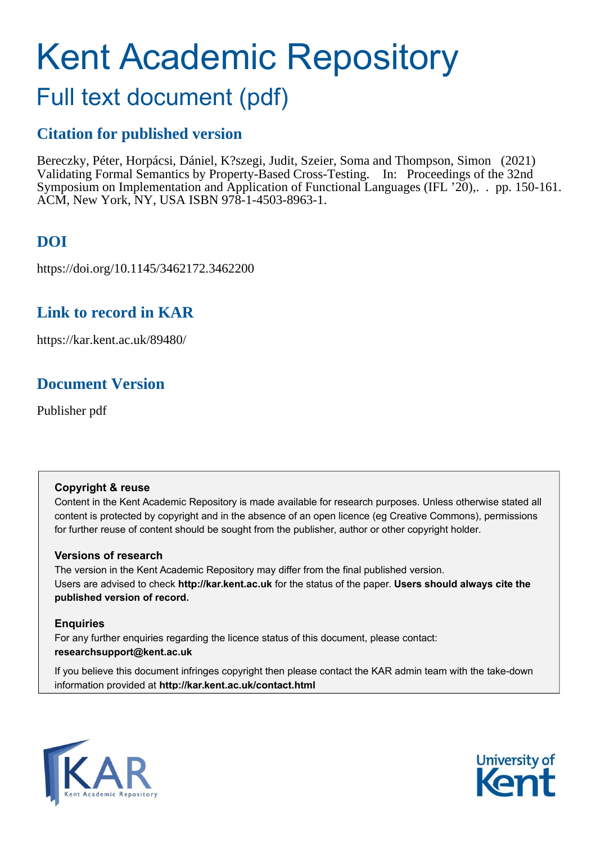# Kent Academic Repository

# Full text document (pdf)

### **Citation for published version**

Bereczky, Péter, Horpácsi, Dániel, K?szegi, Judit, Szeier, Soma and Thompson, Simon (2021) Validating Formal Semantics by Property-Based Cross-Testing. In: Proceedings of the 32nd Symposium on Implementation and Application of Functional Languages (IFL '20),. . pp. 150-161. ACM, New York, NY, USA ISBN 978-1-4503-8963-1.

# **DOI**

https://doi.org/10.1145/3462172.3462200

# **Link to record in KAR**

https://kar.kent.ac.uk/89480/

# **Document Version**

Publisher pdf

#### **Copyright & reuse**

Content in the Kent Academic Repository is made available for research purposes. Unless otherwise stated all content is protected by copyright and in the absence of an open licence (eg Creative Commons), permissions for further reuse of content should be sought from the publisher, author or other copyright holder.

#### **Versions of research**

The version in the Kent Academic Repository may differ from the final published version. Users are advised to check **http://kar.kent.ac.uk** for the status of the paper. **Users should always cite the published version of record.**

#### **Enquiries**

For any further enquiries regarding the licence status of this document, please contact: **researchsupport@kent.ac.uk**

If you believe this document infringes copyright then please contact the KAR admin team with the take-down information provided at **http://kar.kent.ac.uk/contact.html**



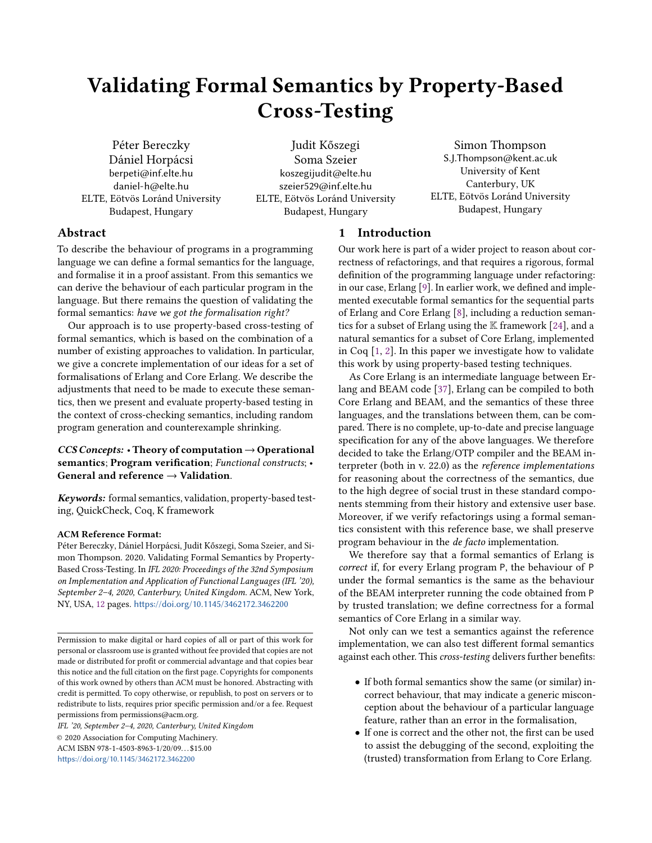# Validating Formal Semantics by Property-Based Cross-Testing

Péter Bereczky Dániel Horpácsi berpeti@inf.elte.hu daniel-h@elte.hu ELTE, Eötvös Loránd University Budapest, Hungary

Judit Kőszegi Soma Szeier koszegijudit@elte.hu szeier529@inf.elte.hu ELTE, Eötvös Loránd University Budapest, Hungary

Simon Thompson S.J.Thompson@kent.ac.uk University of Kent Canterbury, UK ELTE, Eötvös Loránd University Budapest, Hungary

#### Abstract

To describe the behaviour of programs in a programming language we can define a formal semantics for the language, and formalise it in a proof assistant. From this semantics we can derive the behaviour of each particular program in the language. But there remains the question of validating the formal semantics: have we got the formalisation right?

Our approach is to use property-based cross-testing of formal semantics, which is based on the combination of a number of existing approaches to validation. In particular, we give a concrete implementation of our ideas for a set of formalisations of Erlang and Core Erlang. We describe the adjustments that need to be made to execute these semantics, then we present and evaluate property-based testing in the context of cross-checking semantics, including random program generation and counterexample shrinking.

#### $CCS$  Concepts: • Theory of computation  $\rightarrow$  Operational semantics; Program verification; Functional constructs; • General and reference  $\rightarrow$  Validation.

Keywords: formal semantics, validation, property-based testing, QuickCheck, Coq, K framework

#### ACM Reference Format:

Péter Bereczky, Dániel Horpácsi, Judit Kőszegi, Soma Szeier, and Simon Thompson. 2020. Validating Formal Semantics by Property-Based Cross-Testing. In IFL 2020: Proceedings of the 32nd Symposium on Implementation and Application of Functional Languages (IFL '20), September 2–4, 2020, Canterbury, United Kingdom. ACM, New York, NY, USA, 12 pages. <https://doi.org/10.1145/3462172.3462200>

IFL '20, September 2–4, 2020, Canterbury, United Kingdom

© 2020 Association for Computing Machinery. ACM ISBN 978-1-4503-8963-1/20/09. . . \$15.00 <https://doi.org/10.1145/3462172.3462200>

#### 1 Introduction

Our work here is part of a wider project to reason about correctness of refactorings, and that requires a rigorous, formal definition of the programming language under refactoring: in our case, Erlang [9]. In earlier work, we defined and implemented executable formal semantics for the sequential parts of Erlang and Core Erlang [8], including a reduction semantics for a subset of Erlang using the  $K$  framework [24], and a natural semantics for a subset of Core Erlang, implemented in Coq [1, 2]. In this paper we investigate how to validate this work by using property-based testing techniques.

As Core Erlang is an intermediate language between Erlang and BEAM code [37], Erlang can be compiled to both Core Erlang and BEAM, and the semantics of these three languages, and the translations between them, can be compared. There is no complete, up-to-date and precise language specification for any of the above languages. We therefore decided to take the Erlang/OTP compiler and the BEAM interpreter (both in v. 22.0) as the reference implementations for reasoning about the correctness of the semantics, due to the high degree of social trust in these standard components stemming from their history and extensive user base. Moreover, if we verify refactorings using a formal semantics consistent with this reference base, we shall preserve program behaviour in the de facto implementation.

We therefore say that a formal semantics of Erlang is correct if, for every Erlang program P, the behaviour of P under the formal semantics is the same as the behaviour of the BEAM interpreter running the code obtained from P by trusted translation; we define correctness for a formal semantics of Core Erlang in a similar way.

Not only can we test a semantics against the reference implementation, we can also test different formal semantics against each other. This cross-testing delivers further benefits:

- If both formal semantics show the same (or similar) incorrect behaviour, that may indicate a generic misconception about the behaviour of a particular language feature, rather than an error in the formalisation,
- If one is correct and the other not, the first can be used to assist the debugging of the second, exploiting the (trusted) transformation from Erlang to Core Erlang.

Permission to make digital or hard copies of all or part of this work for personal or classroom use is granted without fee provided that copies are not made or distributed for profit or commercial advantage and that copies bear this notice and the full citation on the first page. Copyrights for components of this work owned by others than ACM must be honored. Abstracting with credit is permitted. To copy otherwise, or republish, to post on servers or to redistribute to lists, requires prior specific permission and/or a fee. Request permissions from permissions@acm.org.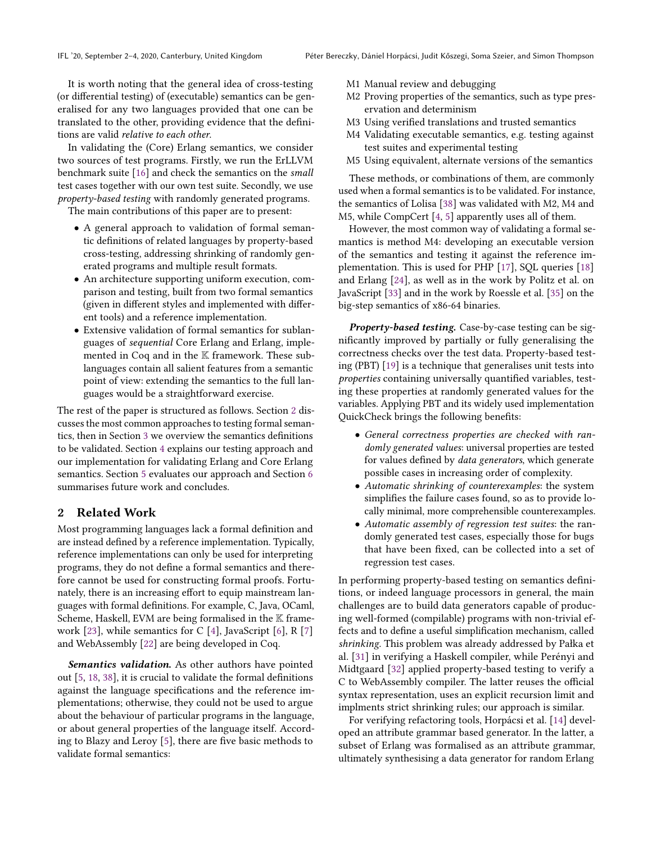It is worth noting that the general idea of cross-testing (or differential testing) of (executable) semantics can be generalised for any two languages provided that one can be translated to the other, providing evidence that the definitions are valid relative to each other.

In validating the (Core) Erlang semantics, we consider two sources of test programs. Firstly, we run the ErLLVM benchmark suite [16] and check the semantics on the small test cases together with our own test suite. Secondly, we use property-based testing with randomly generated programs.

The main contributions of this paper are to present:

- A general approach to validation of formal semantic definitions of related languages by property-based cross-testing, addressing shrinking of randomly generated programs and multiple result formats.
- An architecture supporting uniform execution, comparison and testing, built from two formal semantics (given in different styles and implemented with different tools) and a reference implementation.
- Extensive validation of formal semantics for sublanguages of sequential Core Erlang and Erlang, implemented in Coq and in the K framework. These sublanguages contain all salient features from a semantic point of view: extending the semantics to the full languages would be a straightforward exercise.

The rest of the paper is structured as follows. Section 2 discusses the most common approaches to testing formal semantics, then in Section 3 we overview the semantics definitions to be validated. Section 4 explains our testing approach and our implementation for validating Erlang and Core Erlang semantics. Section 5 evaluates our approach and Section 6 summarises future work and concludes.

#### 2 Related Work

Most programming languages lack a formal definition and are instead defined by a reference implementation. Typically, reference implementations can only be used for interpreting programs, they do not define a formal semantics and therefore cannot be used for constructing formal proofs. Fortunately, there is an increasing effort to equip mainstream languages with formal definitions. For example, C, Java, OCaml, Scheme, Haskell, EVM are being formalised in the  $K$  framework [23], while semantics for C [4], JavaScript [6], R [7] and WebAssembly [22] are being developed in Coq.

Semantics validation. As other authors have pointed out [5, 18, 38], it is crucial to validate the formal definitions against the language specifications and the reference implementations; otherwise, they could not be used to argue about the behaviour of particular programs in the language, or about general properties of the language itself. According to Blazy and Leroy [5], there are five basic methods to validate formal semantics:

- M1 Manual review and debugging
- M2 Proving properties of the semantics, such as type preservation and determinism
- M3 Using verified translations and trusted semantics
- M4 Validating executable semantics, e.g. testing against test suites and experimental testing
- M5 Using equivalent, alternate versions of the semantics

These methods, or combinations of them, are commonly used when a formal semantics is to be validated. For instance, the semantics of Lolisa [38] was validated with M2, M4 and M5, while CompCert [4, 5] apparently uses all of them.

However, the most common way of validating a formal semantics is method M4: developing an executable version of the semantics and testing it against the reference implementation. This is used for PHP [17], SQL queries [18] and Erlang [24], as well as in the work by Politz et al. on JavaScript [33] and in the work by Roessle et al. [35] on the big-step semantics of x86-64 binaries.

Property-based testing. Case-by-case testing can be significantly improved by partially or fully generalising the correctness checks over the test data. Property-based testing (PBT) [19] is a technique that generalises unit tests into properties containing universally quantified variables, testing these properties at randomly generated values for the variables. Applying PBT and its widely used implementation QuickCheck brings the following benefits:

- General correctness properties are checked with randomly generated values: universal properties are tested for values defined by data generators, which generate possible cases in increasing order of complexity.
- Automatic shrinking of counterexamples: the system simplifies the failure cases found, so as to provide locally minimal, more comprehensible counterexamples.
- Automatic assembly of regression test suites: the randomly generated test cases, especially those for bugs that have been fixed, can be collected into a set of regression test cases.

In performing property-based testing on semantics definitions, or indeed language processors in general, the main challenges are to build data generators capable of producing well-formed (compilable) programs with non-trivial effects and to define a useful simplification mechanism, called shrinking. This problem was already addressed by Pałka et al. [31] in verifying a Haskell compiler, while Perényi and Midtgaard [32] applied property-based testing to verify a C to WebAssembly compiler. The latter reuses the official syntax representation, uses an explicit recursion limit and implments strict shrinking rules; our approach is similar.

For verifying refactoring tools, Horpácsi et al. [14] developed an attribute grammar based generator. In the latter, a subset of Erlang was formalised as an attribute grammar, ultimately synthesising a data generator for random Erlang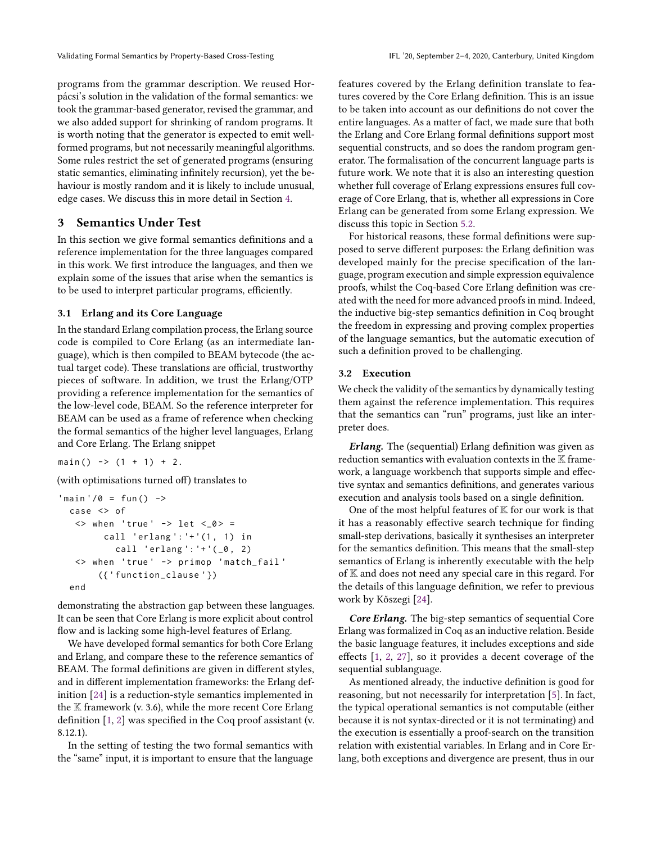programs from the grammar description. We reused Horpácsi's solution in the validation of the formal semantics: we took the grammar-based generator, revised the grammar, and we also added support for shrinking of random programs. It is worth noting that the generator is expected to emit wellformed programs, but not necessarily meaningful algorithms. Some rules restrict the set of generated programs (ensuring static semantics, eliminating infinitely recursion), yet the behaviour is mostly random and it is likely to include unusual, edge cases. We discuss this in more detail in Section 4.

#### 3 Semantics Under Test

In this section we give formal semantics definitions and a reference implementation for the three languages compared in this work. We first introduce the languages, and then we explain some of the issues that arise when the semantics is to be used to interpret particular programs, efficiently.

#### 3.1 Erlang and its Core Language

In the standard Erlang compilation process, the Erlang source code is compiled to Core Erlang (as an intermediate language), which is then compiled to BEAM bytecode (the actual target code). These translations are official, trustworthy pieces of software. In addition, we trust the Erlang/OTP providing a reference implementation for the semantics of the low-level code, BEAM. So the reference interpreter for BEAM can be used as a frame of reference when checking the formal semantics of the higher level languages, Erlang and Core Erlang. The Erlang snippet

 $main()$  ->  $(1 + 1) + 2$ .

(with optimisations turned off) translates to

```
'main '/0 = \text{fun}() ->
  case <> of
   \langle when 'true' \rightarrow let \langle \angle 0 \rangle =
          call 'erlang ': '+ '(1 , 1) in
             call 'erlang': '+'(_0, 2)
   <> when 'true ' -> primop 'match_fail '
         ({' function_clause '})
  end
```
demonstrating the abstraction gap between these languages. It can be seen that Core Erlang is more explicit about control flow and is lacking some high-level features of Erlang.

We have developed formal semantics for both Core Erlang and Erlang, and compare these to the reference semantics of BEAM. The formal definitions are given in different styles, and in different implementation frameworks: the Erlang definition [24] is a reduction-style semantics implemented in the  $K$  framework (v. 3.6), while the more recent Core Erlang definition [1, 2] was specified in the Coq proof assistant (v. 8.12.1).

In the setting of testing the two formal semantics with the "same" input, it is important to ensure that the language features covered by the Erlang definition translate to features covered by the Core Erlang definition. This is an issue to be taken into account as our definitions do not cover the entire languages. As a matter of fact, we made sure that both the Erlang and Core Erlang formal definitions support most sequential constructs, and so does the random program generator. The formalisation of the concurrent language parts is future work. We note that it is also an interesting question whether full coverage of Erlang expressions ensures full coverage of Core Erlang, that is, whether all expressions in Core Erlang can be generated from some Erlang expression. We discuss this topic in Section 5.2.

For historical reasons, these formal definitions were supposed to serve different purposes: the Erlang definition was developed mainly for the precise specification of the language, program execution and simple expression equivalence proofs, whilst the Coq-based Core Erlang definition was created with the need for more advanced proofs in mind. Indeed, the inductive big-step semantics definition in Coq brought the freedom in expressing and proving complex properties of the language semantics, but the automatic execution of such a definition proved to be challenging.

#### 3.2 Execution

We check the validity of the semantics by dynamically testing them against the reference implementation. This requires that the semantics can "run" programs, just like an interpreter does.

Erlang. The (sequential) Erlang definition was given as reduction semantics with evaluation contexts in the  $\mathbb K$  framework, a language workbench that supports simple and effective syntax and semantics definitions, and generates various execution and analysis tools based on a single definition.

One of the most helpful features of  $K$  for our work is that it has a reasonably effective search technique for finding small-step derivations, basically it synthesises an interpreter for the semantics definition. This means that the small-step semantics of Erlang is inherently executable with the help of K and does not need any special care in this regard. For the details of this language definition, we refer to previous work by Kőszegi [24].

Core Erlang. The big-step semantics of sequential Core Erlang was formalized in Coq as an inductive relation. Beside the basic language features, it includes exceptions and side effects [1, 2, 27], so it provides a decent coverage of the sequential sublanguage.

As mentioned already, the inductive definition is good for reasoning, but not necessarily for interpretation [5]. In fact, the typical operational semantics is not computable (either because it is not syntax-directed or it is not terminating) and the execution is essentially a proof-search on the transition relation with existential variables. In Erlang and in Core Erlang, both exceptions and divergence are present, thus in our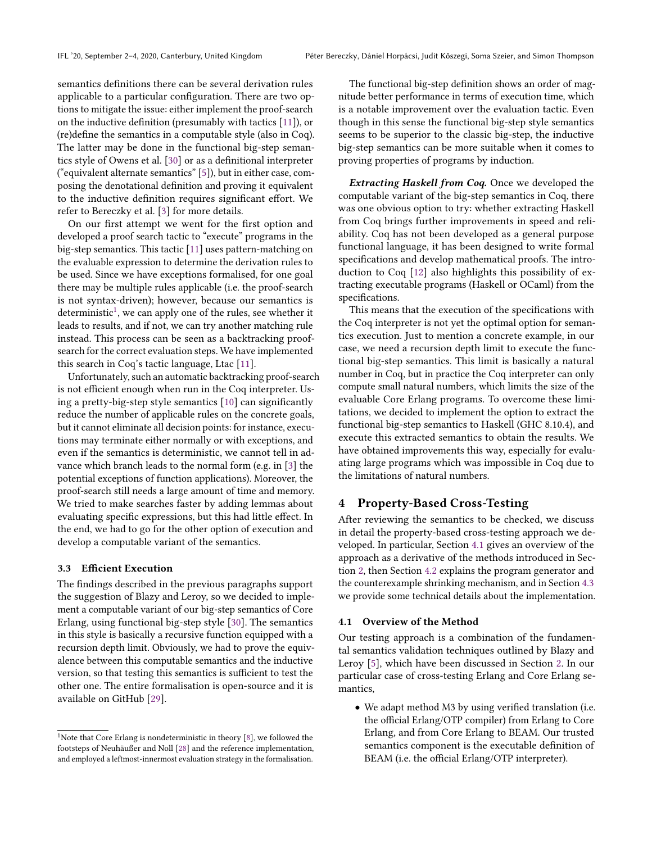semantics definitions there can be several derivation rules applicable to a particular configuration. There are two options to mitigate the issue: either implement the proof-search on the inductive definition (presumably with tactics [11]), or (re)define the semantics in a computable style (also in Coq). The latter may be done in the functional big-step semantics style of Owens et al. [30] or as a definitional interpreter ("equivalent alternate semantics" [5]), but in either case, composing the denotational definition and proving it equivalent to the inductive definition requires significant effort. We refer to Bereczky et al. [3] for more details.

On our first attempt we went for the first option and developed a proof search tactic to "execute" programs in the big-step semantics. This tactic [11] uses pattern-matching on the evaluable expression to determine the derivation rules to be used. Since we have exceptions formalised, for one goal there may be multiple rules applicable (i.e. the proof-search is not syntax-driven); however, because our semantics is  $d$ eterministic<sup>1</sup>, we can apply one of the rules, see whether it leads to results, and if not, we can try another matching rule instead. This process can be seen as a backtracking proofsearch for the correct evaluation steps. We have implemented this search in Coq's tactic language, Ltac [11].

Unfortunately, such an automatic backtracking proof-search is not efficient enough when run in the Coq interpreter. Using a pretty-big-step style semantics [10] can significantly reduce the number of applicable rules on the concrete goals, but it cannot eliminate all decision points: for instance, executions may terminate either normally or with exceptions, and even if the semantics is deterministic, we cannot tell in advance which branch leads to the normal form (e.g. in [3] the potential exceptions of function applications). Moreover, the proof-search still needs a large amount of time and memory. We tried to make searches faster by adding lemmas about evaluating specific expressions, but this had little effect. In the end, we had to go for the other option of execution and develop a computable variant of the semantics.

#### 3.3 Efficient Execution

The findings described in the previous paragraphs support the suggestion of Blazy and Leroy, so we decided to implement a computable variant of our big-step semantics of Core Erlang, using functional big-step style [30]. The semantics in this style is basically a recursive function equipped with a recursion depth limit. Obviously, we had to prove the equivalence between this computable semantics and the inductive version, so that testing this semantics is sufficient to test the other one. The entire formalisation is open-source and it is available on GitHub [29].

The functional big-step definition shows an order of magnitude better performance in terms of execution time, which is a notable improvement over the evaluation tactic. Even though in this sense the functional big-step style semantics seems to be superior to the classic big-step, the inductive big-step semantics can be more suitable when it comes to proving properties of programs by induction.

Extracting Haskell from Coq. Once we developed the computable variant of the big-step semantics in Coq, there was one obvious option to try: whether extracting Haskell from Coq brings further improvements in speed and reliability. Coq has not been developed as a general purpose functional language, it has been designed to write formal specifications and develop mathematical proofs. The introduction to Coq [12] also highlights this possibility of extracting executable programs (Haskell or OCaml) from the specifications.

This means that the execution of the specifications with the Coq interpreter is not yet the optimal option for semantics execution. Just to mention a concrete example, in our case, we need a recursion depth limit to execute the functional big-step semantics. This limit is basically a natural number in Coq, but in practice the Coq interpreter can only compute small natural numbers, which limits the size of the evaluable Core Erlang programs. To overcome these limitations, we decided to implement the option to extract the functional big-step semantics to Haskell (GHC 8.10.4), and execute this extracted semantics to obtain the results. We have obtained improvements this way, especially for evaluating large programs which was impossible in Coq due to the limitations of natural numbers.

#### 4 Property-Based Cross-Testing

After reviewing the semantics to be checked, we discuss in detail the property-based cross-testing approach we developed. In particular, Section 4.1 gives an overview of the approach as a derivative of the methods introduced in Section 2, then Section 4.2 explains the program generator and the counterexample shrinking mechanism, and in Section 4.3 we provide some technical details about the implementation.

#### 4.1 Overview of the Method

Our testing approach is a combination of the fundamental semantics validation techniques outlined by Blazy and Leroy [5], which have been discussed in Section 2. In our particular case of cross-testing Erlang and Core Erlang semantics,

• We adapt method M3 by using verified translation (i.e. the official Erlang/OTP compiler) from Erlang to Core Erlang, and from Core Erlang to BEAM. Our trusted semantics component is the executable definition of BEAM (i.e. the official Erlang/OTP interpreter).

 $^1$  Note that Core Erlang is nondeterministic in theory  $[\mathcal{8}]$  , we followed the footsteps of Neuhäußer and Noll [28] and the reference implementation, and employed a leftmost-innermost evaluation strategy in the formalisation.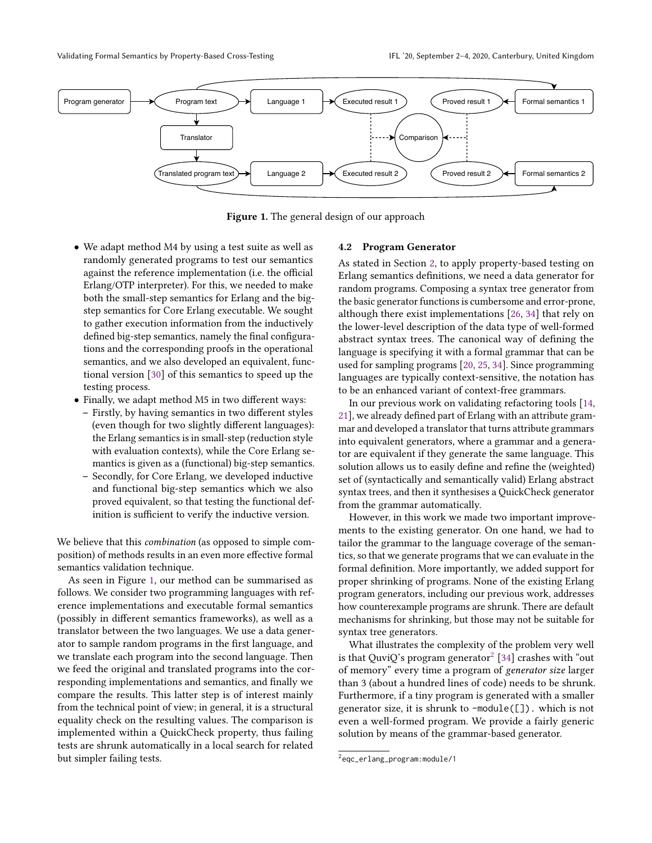

Figure 1. The general design of our approach

- We adapt method M4 by using a test suite as well as randomly generated programs to test our semantics against the reference implementation (i.e. the official Erlang/OTP interpreter). For this, we needed to make both the small-step semantics for Erlang and the bigstep semantics for Core Erlang executable. We sought to gather execution information from the inductively defined big-step semantics, namely the final configurations and the corresponding proofs in the operational semantics, and we also developed an equivalent, functional version [30] of this semantics to speed up the testing process.
- Finally, we adapt method M5 in two different ways:
	- Firstly, by having semantics in two different styles (even though for two slightly different languages): the Erlang semantics is in small-step (reduction style with evaluation contexts), while the Core Erlang semantics is given as a (functional) big-step semantics.
	- Secondly, for Core Erlang, we developed inductive and functional big-step semantics which we also proved equivalent, so that testing the functional definition is sufficient to verify the inductive version.

We believe that this combination (as opposed to simple composition) of methods results in an even more effective formal semantics validation technique.

As seen in Figure 1, our method can be summarised as follows. We consider two programming languages with reference implementations and executable formal semantics (possibly in different semantics frameworks), as well as a translator between the two languages. We use a data generator to sample random programs in the first language, and we translate each program into the second language. Then we feed the original and translated programs into the corresponding implementations and semantics, and finally we compare the results. This latter step is of interest mainly from the technical point of view; in general, it is a structural equality check on the resulting values. The comparison is implemented within a QuickCheck property, thus failing tests are shrunk automatically in a local search for related but simpler failing tests.

#### 4.2 Program Generator

As stated in Section 2, to apply property-based testing on Erlang semantics definitions, we need a data generator for random programs. Composing a syntax tree generator from the basic generator functions is cumbersome and error-prone, although there exist implementations [26, 34] that rely on the lower-level description of the data type of well-formed abstract syntax trees. The canonical way of defining the language is specifying it with a formal grammar that can be used for sampling programs [20, 25, 34]. Since programming languages are typically context-sensitive, the notation has to be an enhanced variant of context-free grammars.

In our previous work on validating refactoring tools [14, 21], we already defined part of Erlang with an attribute grammar and developed a translator that turns attribute grammars into equivalent generators, where a grammar and a generator are equivalent if they generate the same language. This solution allows us to easily define and refine the (weighted) set of (syntactically and semantically valid) Erlang abstract syntax trees, and then it synthesises a QuickCheck generator from the grammar automatically.

However, in this work we made two important improvements to the existing generator. On one hand, we had to tailor the grammar to the language coverage of the semantics, so that we generate programs that we can evaluate in the formal definition. More importantly, we added support for proper shrinking of programs. None of the existing Erlang program generators, including our previous work, addresses how counterexample programs are shrunk. There are default mechanisms for shrinking, but those may not be suitable for syntax tree generators.

What illustrates the complexity of the problem very well is that QuviQ's program generator $^2$  [34] crashes with "out of memory" every time a program of generator size larger than 3 (about a hundred lines of code) needs to be shrunk. Furthermore, if a tiny program is generated with a smaller generator size, it is shrunk to -module([]). which is not even a well-formed program. We provide a fairly generic solution by means of the grammar-based generator.

<sup>2</sup>eqc\_erlang\_program:module/1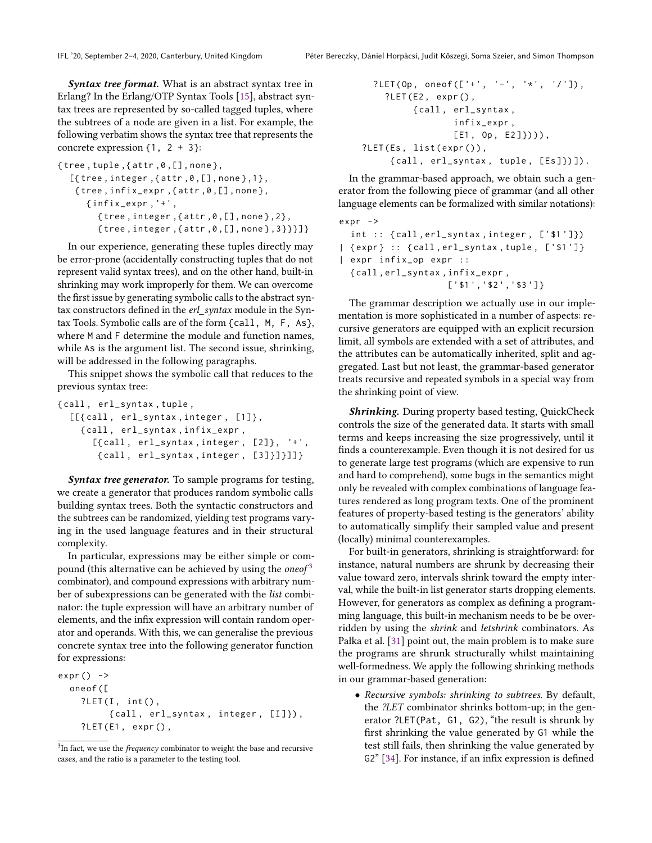**Syntax tree format.** What is an abstract syntax tree in Erlang? In the Erlang/OTP Syntax Tools [15], abstract syntax trees are represented by so-called tagged tuples, where the subtrees of a node are given in a list. For example, the following verbatim shows the syntax tree that represents the concrete expression  $\{1, 2 + 3\}$ :

```
{tree, tuple, fattr, 0, [], none},[{tree, integer, {attr, 0, [], none \rbrace, 1},
   { tree , infix_expr ,{ attr ,0 ,[] , none } ,
      { infix_expr ,'+',
         {tree, integer, \{attr, 0, [], none\}, 2},{ tree , integer ,{ attr ,0 ,[] , none } ,3}}}]}
```
In our experience, generating these tuples directly may be error-prone (accidentally constructing tuples that do not represent valid syntax trees), and on the other hand, built-in shrinking may work improperly for them. We can overcome the first issue by generating symbolic calls to the abstract syntax constructors defined in the erl\_syntax module in the Syntax Tools. Symbolic calls are of the form {call, M, F, As}, where M and F determine the module and function names, while As is the argument list. The second issue, shrinking, will be addressed in the following paragraphs.

This snippet shows the symbolic call that reduces to the previous syntax tree:

```
{ call , erl_syntax , tuple ,
  [[{call, erl_syntax, integer, [1]},
    { call , erl_syntax , infix_expr ,
      [{call, erl_syntax, integer, [2]}, '+',
        { call , erl_syntax , integer , [3]}]}]]}
```
Syntax tree generator. To sample programs for testing, we create a generator that produces random symbolic calls building syntax trees. Both the syntactic constructors and the subtrees can be randomized, yielding test programs varying in the used language features and in their structural complexity.

In particular, expressions may be either simple or compound (this alternative can be achieved by using the *one* of  $3$ combinator), and compound expressions with arbitrary number of subexpressions can be generated with the list combinator: the tuple expression will have an arbitrary number of elements, and the infix expression will contain random operator and operands. With this, we can generalise the previous concrete syntax tree into the following generator function for expressions:

```
expr() ->
  oneof ([
    ? LET(I, int(),
          { call , erl_syntax , integer , [ I ]}) ,
    ? LET(E1, expr(),
```

```
3In fact, we use the frequency combinator to weight the base and recursive
cases, and the ratio is a parameter to the testing tool.
```

```
?LET( Op, one of ([\ '']'. ' - ', '*/ '') ),
    ? LET (E2, expr(),
          { call , erl_syntax ,
                  infix_expr ,
                  [E1, 0p, E2])))),
? LET(Es, list(expr()),
     { call , erl_syntax , tuple , [ Es ]}) ]) .
```
In the grammar-based approach, we obtain such a generator from the following piece of grammar (and all other language elements can be formalized with similar notations):

```
expr ->
  int :: { call , erl_syntax , integer , ['$1 ']})
| { expr } :: { call , erl_syntax , tuple , ['$1 ']}
| expr infix_op expr ::
  { call , erl_syntax , infix_expr ,
                      ['$1 ','$2 ','$3 ']}
```
The grammar description we actually use in our implementation is more sophisticated in a number of aspects: recursive generators are equipped with an explicit recursion limit, all symbols are extended with a set of attributes, and the attributes can be automatically inherited, split and aggregated. Last but not least, the grammar-based generator treats recursive and repeated symbols in a special way from the shrinking point of view.

**Shrinking.** During property based testing, QuickCheck controls the size of the generated data. It starts with small terms and keeps increasing the size progressively, until it finds a counterexample. Even though it is not desired for us to generate large test programs (which are expensive to run and hard to comprehend), some bugs in the semantics might only be revealed with complex combinations of language features rendered as long program texts. One of the prominent features of property-based testing is the generators' ability to automatically simplify their sampled value and present (locally) minimal counterexamples.

For built-in generators, shrinking is straightforward: for instance, natural numbers are shrunk by decreasing their value toward zero, intervals shrink toward the empty interval, while the built-in list generator starts dropping elements. However, for generators as complex as defining a programming language, this built-in mechanism needs to be be overridden by using the shrink and letshrink combinators. As Pałka et al. [31] point out, the main problem is to make sure the programs are shrunk structurally whilst maintaining well-formedness. We apply the following shrinking methods in our grammar-based generation:

• Recursive symbols: shrinking to subtrees. By default, the ?LET combinator shrinks bottom-up; in the generator ?LET(Pat, G1, G2), "the result is shrunk by first shrinking the value generated by G1 while the test still fails, then shrinking the value generated by G2" [34]. For instance, if an infix expression is defined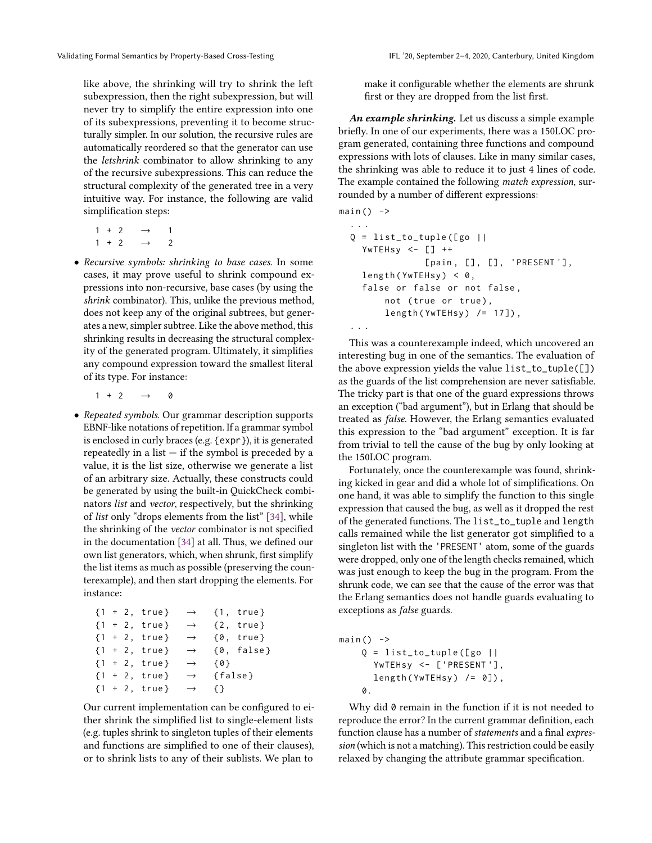like above, the shrinking will try to shrink the left subexpression, then the right subexpression, but will never try to simplify the entire expression into one of its subexpressions, preventing it to become structurally simpler. In our solution, the recursive rules are automatically reordered so that the generator can use the letshrink combinator to allow shrinking to any of the recursive subexpressions. This can reduce the structural complexity of the generated tree in a very intuitive way. For instance, the following are valid simplification steps:

|  | $1 + 2 \rightarrow 1$ |                |
|--|-----------------------|----------------|
|  | $1 + 2 \rightarrow$   | $\overline{2}$ |

- Recursive symbols: shrinking to base cases. In some cases, it may prove useful to shrink compound expressions into non-recursive, base cases (by using the shrink combinator). This, unlike the previous method, does not keep any of the original subtrees, but generates a new, simpler subtree. Like the above method, this shrinking results in decreasing the structural complexity of the generated program. Ultimately, it simplifies any compound expression toward the smallest literal of its type. For instance:
	- $1 + 2 \rightarrow 0$
- Repeated symbols. Our grammar description supports EBNF-like notations of repetition. If a grammar symbol is enclosed in curly braces (e.g. {expr}), it is generated repeatedly in a list  $-$  if the symbol is preceded by a value, it is the list size, otherwise we generate a list of an arbitrary size. Actually, these constructs could be generated by using the built-in QuickCheck combinators list and vector, respectively, but the shrinking of list only "drops elements from the list" [34], while the shrinking of the vector combinator is not specified in the documentation [34] at all. Thus, we defined our own list generators, which, when shrunk, first simplify the list items as much as possible (preserving the counterexample), and then start dropping the elements. For instance:

$$
{1 + 2, true} \rightarrow {1, true}
$$
  
\n
$$
{1 + 2, true} \rightarrow {2, true}
$$
  
\n
$$
{1 + 2, true} \rightarrow {0, true}
$$
  
\n
$$
{1 + 2, true} \rightarrow {0, false}
$$
  
\n
$$
{1 + 2, true} \rightarrow {0}
$$
  
\n
$$
{1 + 2, true} \rightarrow {0}
$$
  
\n
$$
{1 + 2, true} \rightarrow {false}
$$
  
\n
$$
{1 + 2, true} \rightarrow {1}
$$

Our current implementation can be configured to either shrink the simplified list to single-element lists (e.g. tuples shrink to singleton tuples of their elements and functions are simplified to one of their clauses), or to shrink lists to any of their sublists. We plan to

make it configurable whether the elements are shrunk first or they are dropped from the list first.

An example shrinking. Let us discuss a simple example briefly. In one of our experiments, there was a 150LOC program generated, containing three functions and compound expressions with lots of clauses. Like in many similar cases, the shrinking was able to reduce it to just 4 lines of code. The example contained the following match expression, surrounded by a number of different expressions:

 $main()$  -> . . .

```
Q = list_to<u>tuple([go ||</u>
  YwTEHsy <- [] ++
              [pain, [], [], 'PRESENT'],
  length (YwTEHsy) < 0,
  false or false or not false ,
      not (true or true),
      length(YwTEHsy) /= 17]),
. . .
```
This was a counterexample indeed, which uncovered an interesting bug in one of the semantics. The evaluation of the above expression yields the value list\_to\_tuple([]) as the guards of the list comprehension are never satisfiable. The tricky part is that one of the guard expressions throws an exception ("bad argument"), but in Erlang that should be treated as false. However, the Erlang semantics evaluated this expression to the "bad argument" exception. It is far from trivial to tell the cause of the bug by only looking at the 150LOC program.

Fortunately, once the counterexample was found, shrinking kicked in gear and did a whole lot of simplifications. On one hand, it was able to simplify the function to this single expression that caused the bug, as well as it dropped the rest of the generated functions. The list\_to\_tuple and length calls remained while the list generator got simplified to a singleton list with the 'PRESENT' atom, some of the guards were dropped, only one of the length checks remained, which was just enough to keep the bug in the program. From the shrunk code, we can see that the cause of the error was that the Erlang semantics does not handle guards evaluating to exceptions as false guards.

```
main() ->
    Q = list_to<u>-tuple([go ||)</u>
       YwTEHsy <- ['PRESENT'],
       length(YwTEHsy) /= 0]),
    \Omega.
```
Why did 0 remain in the function if it is not needed to reproduce the error? In the current grammar definition, each function clause has a number of statements and a final expression (which is not a matching). This restriction could be easily relaxed by changing the attribute grammar specification.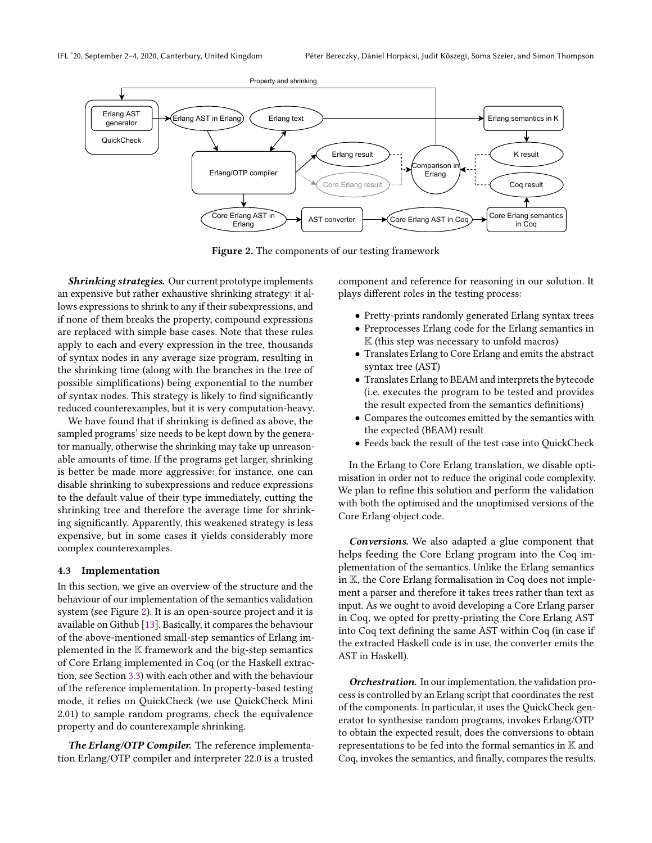

Figure 2. The components of our testing framework

Shrinking strategies. Our current prototype implements an expensive but rather exhaustive shrinking strategy: it allows expressions to shrink to any if their subexpressions, and if none of them breaks the property, compound expressions are replaced with simple base cases. Note that these rules apply to each and every expression in the tree, thousands of syntax nodes in any average size program, resulting in the shrinking time (along with the branches in the tree of possible simplifications) being exponential to the number of syntax nodes. This strategy is likely to find significantly reduced counterexamples, but it is very computation-heavy.

We have found that if shrinking is defined as above, the sampled programs' size needs to be kept down by the generator manually, otherwise the shrinking may take up unreasonable amounts of time. If the programs get larger, shrinking is better be made more aggressive: for instance, one can disable shrinking to subexpressions and reduce expressions to the default value of their type immediately, cutting the shrinking tree and therefore the average time for shrinking significantly. Apparently, this weakened strategy is less expensive, but in some cases it yields considerably more complex counterexamples.

#### 4.3 Implementation

In this section, we give an overview of the structure and the behaviour of our implementation of the semantics validation system (see Figure 2). It is an open-source project and it is available on Github [13]. Basically, it compares the behaviour of the above-mentioned small-step semantics of Erlang implemented in the K framework and the big-step semantics of Core Erlang implemented in Coq (or the Haskell extraction, see Section 3.3) with each other and with the behaviour of the reference implementation. In property-based testing mode, it relies on QuickCheck (we use QuickCheck Mini 2.01) to sample random programs, check the equivalence property and do counterexample shrinking.

The Erlang/OTP Compiler. The reference implementation Erlang/OTP compiler and interpreter 22.0 is a trusted

component and reference for reasoning in our solution. It plays different roles in the testing process:

- Pretty-prints randomly generated Erlang syntax trees
- Preprocesses Erlang code for the Erlang semantics in  $K$  (this step was necessary to unfold macros)
- Translates Erlang to Core Erlang and emits the abstract syntax tree (AST)
- Translates Erlang to BEAM and interprets the bytecode (i.e. executes the program to be tested and provides the result expected from the semantics definitions)
- Compares the outcomes emitted by the semantics with the expected (BEAM) result
- Feeds back the result of the test case into QuickCheck

In the Erlang to Core Erlang translation, we disable optimisation in order not to reduce the original code complexity. We plan to refine this solution and perform the validation with both the optimised and the unoptimised versions of the Core Erlang object code.

Conversions. We also adapted a glue component that helps feeding the Core Erlang program into the Coq implementation of the semantics. Unlike the Erlang semantics in K, the Core Erlang formalisation in Coq does not implement a parser and therefore it takes trees rather than text as input. As we ought to avoid developing a Core Erlang parser in Coq, we opted for pretty-printing the Core Erlang AST into Coq text defining the same AST within Coq (in case if the extracted Haskell code is in use, the converter emits the AST in Haskell).

Orchestration. In our implementation, the validation process is controlled by an Erlang script that coordinates the rest of the components. In particular, it uses the QuickCheck generator to synthesise random programs, invokes Erlang/OTP to obtain the expected result, does the conversions to obtain representations to be fed into the formal semantics in  $K$  and Coq, invokes the semantics, and finally, compares the results.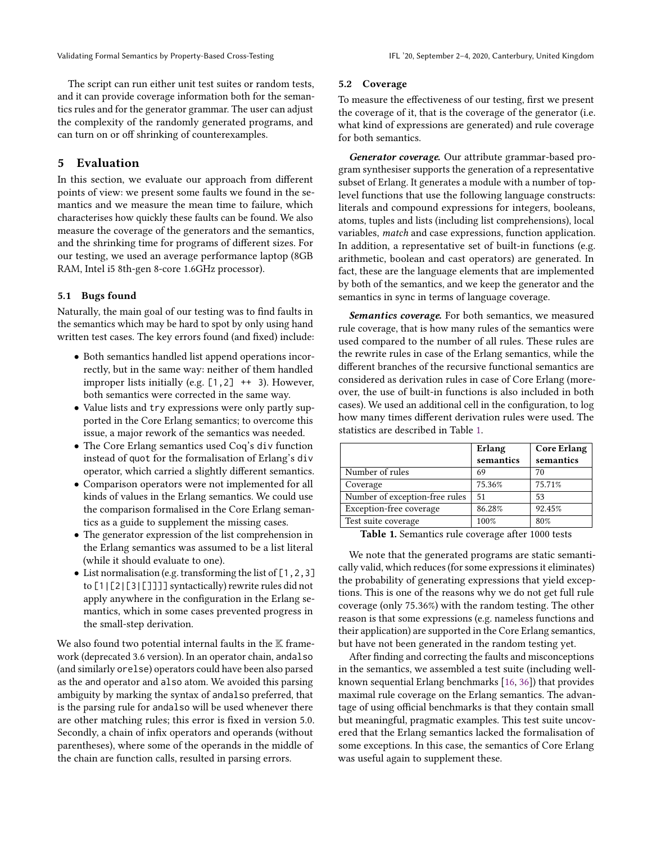The script can run either unit test suites or random tests, and it can provide coverage information both for the semantics rules and for the generator grammar. The user can adjust the complexity of the randomly generated programs, and can turn on or off shrinking of counterexamples.

#### 5 Evaluation

In this section, we evaluate our approach from different points of view: we present some faults we found in the semantics and we measure the mean time to failure, which characterises how quickly these faults can be found. We also measure the coverage of the generators and the semantics, and the shrinking time for programs of different sizes. For our testing, we used an average performance laptop (8GB RAM, Intel i5 8th-gen 8-core 1.6GHz processor).

#### 5.1 Bugs found

Naturally, the main goal of our testing was to find faults in the semantics which may be hard to spot by only using hand written test cases. The key errors found (and fixed) include:

- Both semantics handled list append operations incorrectly, but in the same way: neither of them handled improper lists initially (e.g.  $[1,2]$  ++ 3). However, both semantics were corrected in the same way.
- Value lists and try expressions were only partly supported in the Core Erlang semantics; to overcome this issue, a major rework of the semantics was needed.
- The Core Erlang semantics used Coq's div function instead of quot for the formalisation of Erlang's div operator, which carried a slightly different semantics.
- Comparison operators were not implemented for all kinds of values in the Erlang semantics. We could use the comparison formalised in the Core Erlang semantics as a guide to supplement the missing cases.
- The generator expression of the list comprehension in the Erlang semantics was assumed to be a list literal (while it should evaluate to one).
- List normalisation (e.g. transforming the list of [1,2,3] to [1|[2|[3|[]]]] syntactically) rewrite rules did not apply anywhere in the configuration in the Erlang semantics, which in some cases prevented progress in the small-step derivation.

We also found two potential internal faults in the  $K$  framework (deprecated 3.6 version). In an operator chain, andalso (and similarly orelse) operators could have been also parsed as the and operator and also atom. We avoided this parsing ambiguity by marking the syntax of andalso preferred, that is the parsing rule for andalso will be used whenever there are other matching rules; this error is fixed in version 5.0. Secondly, a chain of infix operators and operands (without parentheses), where some of the operands in the middle of the chain are function calls, resulted in parsing errors.

#### 5.2 Coverage

To measure the effectiveness of our testing, first we present the coverage of it, that is the coverage of the generator (i.e. what kind of expressions are generated) and rule coverage for both semantics.

Generator coverage. Our attribute grammar-based program synthesiser supports the generation of a representative subset of Erlang. It generates a module with a number of toplevel functions that use the following language constructs: literals and compound expressions for integers, booleans, atoms, tuples and lists (including list comprehensions), local variables, match and case expressions, function application. In addition, a representative set of built-in functions (e.g. arithmetic, boolean and cast operators) are generated. In fact, these are the language elements that are implemented by both of the semantics, and we keep the generator and the semantics in sync in terms of language coverage.

Semantics coverage. For both semantics, we measured rule coverage, that is how many rules of the semantics were used compared to the number of all rules. These rules are the rewrite rules in case of the Erlang semantics, while the different branches of the recursive functional semantics are considered as derivation rules in case of Core Erlang (moreover, the use of built-in functions is also included in both cases). We used an additional cell in the configuration, to log how many times different derivation rules were used. The statistics are described in Table 1.

|                                | Erlang<br>semantics | <b>Core Erlang</b><br>semantics |
|--------------------------------|---------------------|---------------------------------|
| Number of rules                | 69                  | 70                              |
| Coverage                       | 75.36%              | 75.71%                          |
| Number of exception-free rules | 51                  | 53                              |
| Exception-free coverage        | 86.28%              | 92.45%                          |
| Test suite coverage            | 100%                | 80%                             |

Table 1. Semantics rule coverage after 1000 tests

We note that the generated programs are static semantically valid, which reduces (for some expressions it eliminates) the probability of generating expressions that yield exceptions. This is one of the reasons why we do not get full rule coverage (only <sup>75</sup>.36%) with the random testing. The other reason is that some expressions (e.g. nameless functions and their application) are supported in the Core Erlang semantics, but have not been generated in the random testing yet.

After finding and correcting the faults and misconceptions in the semantics, we assembled a test suite (including wellknown sequential Erlang benchmarks [16, 36]) that provides maximal rule coverage on the Erlang semantics. The advantage of using official benchmarks is that they contain small but meaningful, pragmatic examples. This test suite uncovered that the Erlang semantics lacked the formalisation of some exceptions. In this case, the semantics of Core Erlang was useful again to supplement these.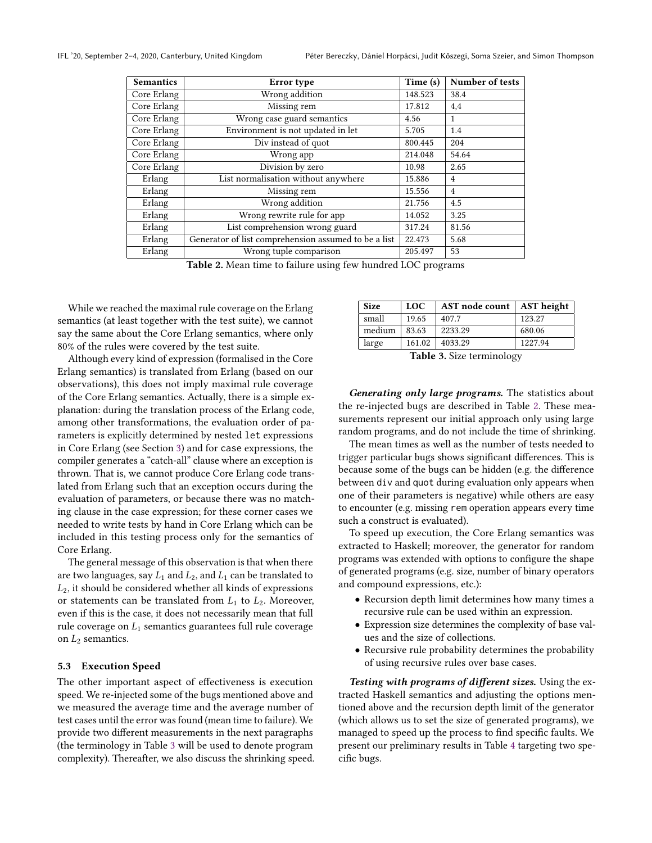| <b>Semantics</b> | Error type                                           | Time (s) | Number of tests |
|------------------|------------------------------------------------------|----------|-----------------|
| Core Erlang      | Wrong addition                                       | 148.523  | 38.4            |
| Core Erlang      | Missing rem                                          | 17.812   | 4,4             |
| Core Erlang      | Wrong case guard semantics                           | 4.56     | 1               |
| Core Erlang      | Environment is not updated in let                    | 5.705    | 1.4             |
| Core Erlang      | Div instead of quot                                  | 800.445  | 204             |
| Core Erlang      | Wrong app                                            | 214.048  | 54.64           |
| Core Erlang      | Division by zero                                     | 10.98    | 2.65            |
| Erlang           | List normalisation without anywhere                  | 15.886   | 4               |
| Erlang           | Missing rem                                          | 15.556   | $\overline{4}$  |
| Erlang           | Wrong addition                                       | 21.756   | 4.5             |
| Erlang           | Wrong rewrite rule for app                           | 14.052   | 3.25            |
| Erlang           | List comprehension wrong guard                       | 317.24   | 81.56           |
| Erlang           | Generator of list comprehension assumed to be a list | 22.473   | 5.68            |
| Erlang           | Wrong tuple comparison                               | 205.497  | 53              |

Table 2. Mean time to failure using few hundred LOC programs

While we reached the maximal rule coverage on the Erlang semantics (at least together with the test suite), we cannot say the same about the Core Erlang semantics, where only 80% of the rules were covered by the test suite.

Although every kind of expression (formalised in the Core Erlang semantics) is translated from Erlang (based on our observations), this does not imply maximal rule coverage of the Core Erlang semantics. Actually, there is a simple explanation: during the translation process of the Erlang code, among other transformations, the evaluation order of parameters is explicitly determined by nested let expressions in Core Erlang (see Section 3) and for case expressions, the compiler generates a "catch-all" clause where an exception is thrown. That is, we cannot produce Core Erlang code translated from Erlang such that an exception occurs during the evaluation of parameters, or because there was no matching clause in the case expression; for these corner cases we needed to write tests by hand in Core Erlang which can be included in this testing process only for the semantics of Core Erlang.

The general message of this observation is that when there are two languages, say  $L_1$  and  $L_2$ , and  $L_1$  can be translated to  $L_2$ , it should be considered whether all kinds of expressions or statements can be translated from  $L_1$  to  $L_2$ . Moreover, even if this is the case, it does not necessarily mean that full rule coverage on  $L_1$  semantics guarantees full rule coverage on  $L_2$  semantics.

#### 5.3 Execution Speed

The other important aspect of effectiveness is execution speed. We re-injected some of the bugs mentioned above and we measured the average time and the average number of test cases until the error was found (mean time to failure). We provide two different measurements in the next paragraphs (the terminology in Table 3 will be used to denote program complexity). Thereafter, we also discuss the shrinking speed.

| <b>Size</b> | <b>LOC</b> | AST node count   AST height |         |
|-------------|------------|-----------------------------|---------|
| small       | 19.65      | 407.7                       | 123.27  |
| medium      | 83.63      | 2233.29                     | 680.06  |
| large       | 161.02     | 4033.29                     | 1227.94 |
| T 11 20     |            |                             |         |

Table 3. Size terminology

Generating only large programs. The statistics about the re-injected bugs are described in Table 2. These measurements represent our initial approach only using large random programs, and do not include the time of shrinking.

The mean times as well as the number of tests needed to trigger particular bugs shows significant differences. This is because some of the bugs can be hidden (e.g. the difference between div and quot during evaluation only appears when one of their parameters is negative) while others are easy to encounter (e.g. missing rem operation appears every time such a construct is evaluated).

To speed up execution, the Core Erlang semantics was extracted to Haskell; moreover, the generator for random programs was extended with options to configure the shape of generated programs (e.g. size, number of binary operators and compound expressions, etc.):

- Recursion depth limit determines how many times a recursive rule can be used within an expression.
- Expression size determines the complexity of base values and the size of collections.
- Recursive rule probability determines the probability of using recursive rules over base cases.

Testing with programs of different sizes. Using the extracted Haskell semantics and adjusting the options mentioned above and the recursion depth limit of the generator (which allows us to set the size of generated programs), we managed to speed up the process to find specific faults. We present our preliminary results in Table 4 targeting two specific bugs.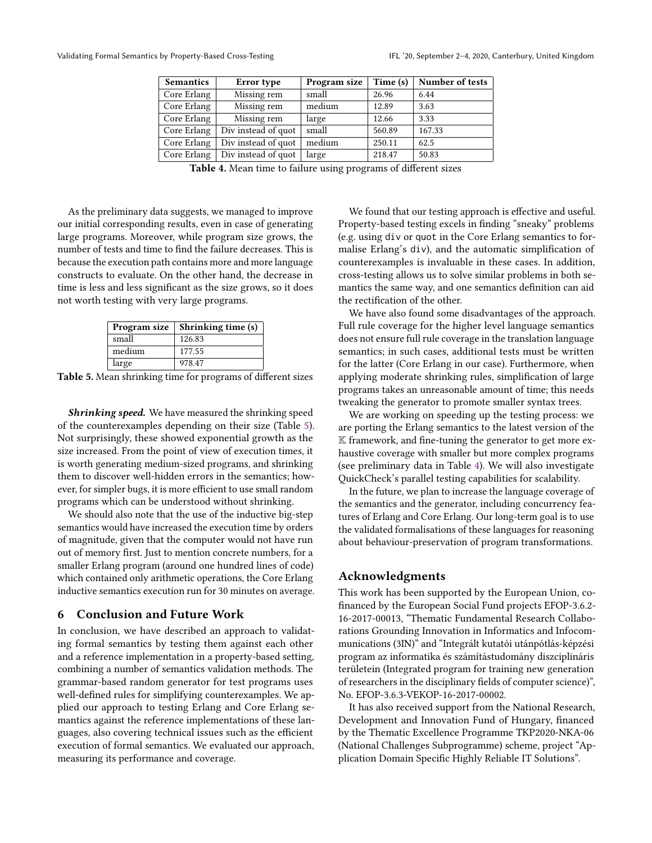| <b>Semantics</b> | Error type          | Program size | Time (s) | Number of tests |
|------------------|---------------------|--------------|----------|-----------------|
| Core Erlang      | Missing rem         | small        | 26.96    | 6.44            |
| Core Erlang      | Missing rem         | medium       | 12.89    | 3.63            |
| Core Erlang      | Missing rem         | large        | 12.66    | 3.33            |
| Core Erlang      | Div instead of quot | small        | 560.89   | 167.33          |
| Core Erlang      | Div instead of quot | medium       | 250.11   | 62.5            |
| Core Erlang      | Div instead of quot | large        | 218.47   | 50.83           |

Table 4. Mean time to failure using programs of different sizes

As the preliminary data suggests, we managed to improve our initial corresponding results, even in case of generating large programs. Moreover, while program size grows, the number of tests and time to find the failure decreases. This is because the execution path contains more and more language constructs to evaluate. On the other hand, the decrease in time is less and less significant as the size grows, so it does not worth testing with very large programs.

| Program size | Shrinking time (s) |
|--------------|--------------------|
| small        | 126.83             |
| medium       | 177.55             |
| large        | 978.47             |

Table 5. Mean shrinking time for programs of different sizes

**Shrinking speed.** We have measured the shrinking speed of the counterexamples depending on their size (Table 5). Not surprisingly, these showed exponential growth as the size increased. From the point of view of execution times, it is worth generating medium-sized programs, and shrinking them to discover well-hidden errors in the semantics; however, for simpler bugs, it is more efficient to use small random programs which can be understood without shrinking.

We should also note that the use of the inductive big-step semantics would have increased the execution time by orders of magnitude, given that the computer would not have run out of memory first. Just to mention concrete numbers, for a smaller Erlang program (around one hundred lines of code) which contained only arithmetic operations, the Core Erlang inductive semantics execution run for 30 minutes on average.

#### 6 Conclusion and Future Work

In conclusion, we have described an approach to validating formal semantics by testing them against each other and a reference implementation in a property-based setting, combining a number of semantics validation methods. The grammar-based random generator for test programs uses well-defined rules for simplifying counterexamples. We applied our approach to testing Erlang and Core Erlang semantics against the reference implementations of these languages, also covering technical issues such as the efficient execution of formal semantics. We evaluated our approach, measuring its performance and coverage.

We found that our testing approach is effective and useful. Property-based testing excels in finding "sneaky" problems (e.g. using div or quot in the Core Erlang semantics to formalise Erlang's div), and the automatic simplification of counterexamples is invaluable in these cases. In addition, cross-testing allows us to solve similar problems in both semantics the same way, and one semantics definition can aid the rectification of the other.

We have also found some disadvantages of the approach. Full rule coverage for the higher level language semantics does not ensure full rule coverage in the translation language semantics; in such cases, additional tests must be written for the latter (Core Erlang in our case). Furthermore, when applying moderate shrinking rules, simplification of large programs takes an unreasonable amount of time; this needs tweaking the generator to promote smaller syntax trees.

We are working on speeding up the testing process: we are porting the Erlang semantics to the latest version of the K framework, and fine-tuning the generator to get more exhaustive coverage with smaller but more complex programs (see preliminary data in Table 4). We will also investigate QuickCheck's parallel testing capabilities for scalability.

In the future, we plan to increase the language coverage of the semantics and the generator, including concurrency features of Erlang and Core Erlang. Our long-term goal is to use the validated formalisations of these languages for reasoning about behaviour-preservation of program transformations.

#### Acknowledgments

This work has been supported by the European Union, cofinanced by the European Social Fund projects EFOP-3.6.2- 16-2017-00013, "Thematic Fundamental Research Collaborations Grounding Innovation in Informatics and Infocommunications (3IN)" and "Integrált kutatói utánpótlás-képzési program az informatika és számítástudomány diszciplináris területein (Integrated program for training new generation of researchers in the disciplinary fields of computer science)", No. EFOP-3.6.3-VEKOP-16-2017-00002.

It has also received support from the National Research, Development and Innovation Fund of Hungary, financed by the Thematic Excellence Programme TKP2020-NKA-06 (National Challenges Subprogramme) scheme, project "Application Domain Specific Highly Reliable IT Solutions".